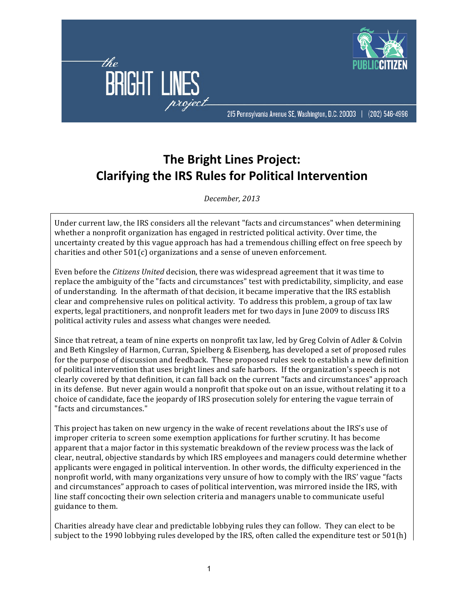

## **The Bright Lines Project: Clarifying the IRS Rules for Political Intervention**

*December,!2013*

Under current law, the IRS considers all the relevant "facts and circumstances" when determining whether a nonprofit organization has engaged in restricted political activity. Over time, the uncertainty created by this vague approach has had a tremendous chilling effect on free speech by charities and other  $501(c)$  organizations and a sense of uneven enforcement.

Even before the *Citizens United* decision, there was widespread agreement that it was time to replace the ambiguity of the "facts and circumstances" test with predictability, simplicity, and ease of understanding. In the aftermath of that decision, it became imperative that the IRS establish clear and comprehensive rules on political activity. To address this problem, a group of tax law experts, legal practitioners, and nonprofit leaders met for two days in June 2009 to discuss IRS political activity rules and assess what changes were needed.

Since that retreat, a team of nine experts on nonprofit tax law, led by Greg Colvin of Adler & Colvin and Beth Kingsley of Harmon, Curran, Spielberg & Eisenberg, has developed a set of proposed rules for the purpose of discussion and feedback. These proposed rules seek to establish a new definition of political intervention that uses bright lines and safe harbors. If the organization's speech is not clearly covered by that definition, it can fall back on the current "facts and circumstances" approach in its defense. But never again would a nonprofit that spoke out on an issue, without relating it to a choice of candidate, face the jeopardy of IRS prosecution solely for entering the vague terrain of "facts and circumstances."

This project has taken on new urgency in the wake of recent revelations about the IRS's use of improper criteria to screen some exemption applications for further scrutiny. It has become apparent that a major factor in this systematic breakdown of the review process was the lack of clear, neutral, objective standards by which IRS employees and managers could determine whether applicants were engaged in political intervention. In other words, the difficulty experienced in the nonprofit world, with many organizations very unsure of how to comply with the IRS' vague "facts" and circumstances" approach to cases of political intervention, was mirrored inside the IRS, with line staff concocting their own selection criteria and managers unable to communicate useful guidance to them.

Charities already have clear and predictable lobbying rules they can follow. They can elect to be subject to the 1990 lobbying rules developed by the IRS, often called the expenditure test or  $501(h)$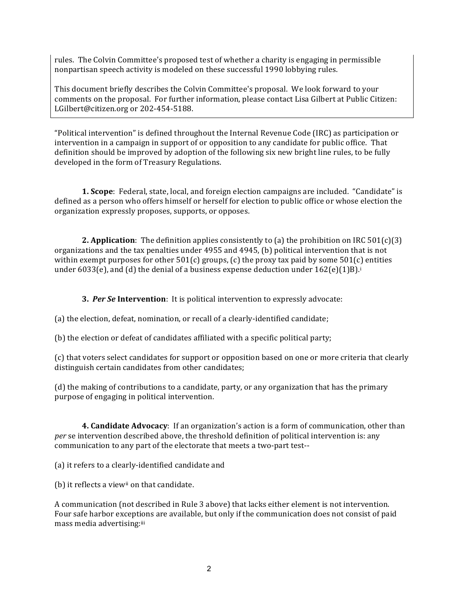rules. The Colvin Committee's proposed test of whether a charity is engaging in permissible nonpartisan speech activity is modeled on these successful 1990 lobbying rules.

This document briefly describes the Colvin Committee's proposal. We look forward to your comments on the proposal. For further information, please contact Lisa Gilbert at Public Citizen: LGilbert@citizen.org or 202-454-5188.

"Political intervention" is defined throughout the Internal Revenue Code (IRC) as participation or intervention in a campaign in support of or opposition to any candidate for public office. That definition should be improved by adoption of the following six new bright line rules, to be fully developed in the form of Treasury Regulations.

**1. Scope**: Federal, state, local, and foreign election campaigns are included. "Candidate" is defined as a person who offers himself or herself for election to public office or whose election the organization expressly proposes, supports, or opposes.

**2. Application**: The definition applies consistently to (a) the prohibition on IRC  $501(c)(3)$ organizations and the tax penalties under 4955 and 4945, (b) political intervention that is not within exempt purposes for other  $501(c)$  groups, (c) the proxy tax paid by some  $501(c)$  entities under 6033(e), and (d) the denial of a business expense deduction under  $162(e)(1)B$ .<sup>i</sup>

**3. Per Se Intervention**: It is political intervention to expressly advocate:

(a) the election, defeat, nomination, or recall of a clearly-identified candidate;

(b) the election or defeat of candidates affiliated with a specific political party;

(c) that voters select candidates for support or opposition based on one or more criteria that clearly distinguish certain candidates from other candidates;

(d) the making of contributions to a candidate, party, or any organization that has the primary purpose of engaging in political intervention.

**4. Candidate Advocacy**: If an organization's action is a form of communication, other than *per* se intervention described above, the threshold definition of political intervention is: any communication to any part of the electorate that meets a two-part test--

(a) it refers to a clearly-identified candidate and

(b) it reflects a viewii on that candidate.

A communication (not described in Rule 3 above) that lacks either element is not intervention. Four safe harbor exceptions are available, but only if the communication does not consist of paid mass media advertising:iii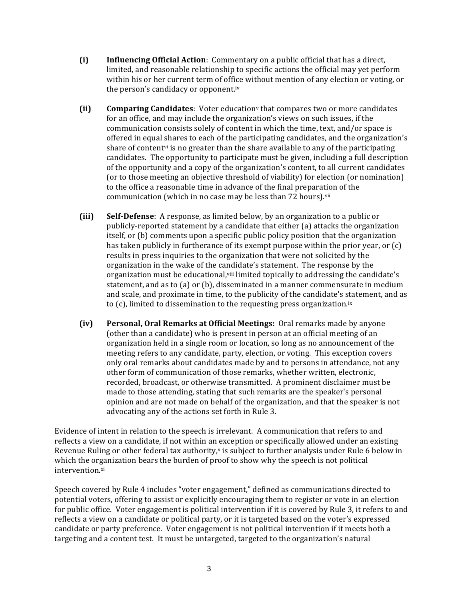- **(i) Influencing Official Action**: Commentary on a public official that has a direct, limited, and reasonable relationship to specific actions the official may vet perform within his or her current term of office without mention of any election or voting, or the person's candidacy or opponent.iv
- **(ii) Comparing Candidates**: Voter education<sup>v</sup> that compares two or more candidates for an office, and may include the organization's views on such issues, if the communication consists solely of content in which the time, text, and/or space is offered in equal shares to each of the participating candidates, and the organization's share of content<sup>y</sup> is no greater than the share available to any of the participating candidates. The opportunity to participate must be given, including a full description of the opportunity and a copy of the organization's content, to all current candidates (or to those meeting an objective threshold of viability) for election (or nomination) to the office a reasonable time in advance of the final preparation of the communication (which in no case may be less than 72 hours).<sup>vii</sup>
- **(iii) Self-Defense**: A response, as limited below, by an organization to a public or publicly-reported statement by a candidate that either (a) attacks the organization itself, or (b) comments upon a specific public policy position that the organization has taken publicly in furtherance of its exempt purpose within the prior year, or  $(c)$ results in press inquiries to the organization that were not solicited by the organization in the wake of the candidate's statement. The response by the organization must be educational, viii limited topically to addressing the candidate's statement, and as to (a) or (b), disseminated in a manner commensurate in medium and scale, and proximate in time, to the publicity of the candidate's statement, and as to (c), limited to dissemination to the requesting press organization.<sup>ix</sup>
- **(iv)** Personal, Oral Remarks at Official Meetings: Oral remarks made by anyone (other than a candidate) who is present in person at an official meeting of an organization held in a single room or location, so long as no announcement of the meeting refers to any candidate, party, election, or voting. This exception covers only oral remarks about candidates made by and to persons in attendance, not any other form of communication of those remarks, whether written, electronic, recorded, broadcast, or otherwise transmitted. A prominent disclaimer must be made to those attending, stating that such remarks are the speaker's personal opinion and are not made on behalf of the organization, and that the speaker is not advocating any of the actions set forth in Rule 3.

Evidence of intent in relation to the speech is irrelevant. A communication that refers to and reflects a view on a candidate, if not within an exception or specifically allowed under an existing Revenue Ruling or other federal tax authority,<sup>x</sup> is subject to further analysis under Rule 6 below in which the organization bears the burden of proof to show why the speech is not political intervention.xi

Speech covered by Rule 4 includes "voter engagement," defined as communications directed to potential voters, offering to assist or explicitly encouraging them to register or vote in an election for public office. Voter engagement is political intervention if it is covered by Rule 3, it refers to and reflects a view on a candidate or political party, or it is targeted based on the voter's expressed candidate or party preference. Voter engagement is not political intervention if it meets both a targeting and a content test. It must be untargeted, targeted to the organization's natural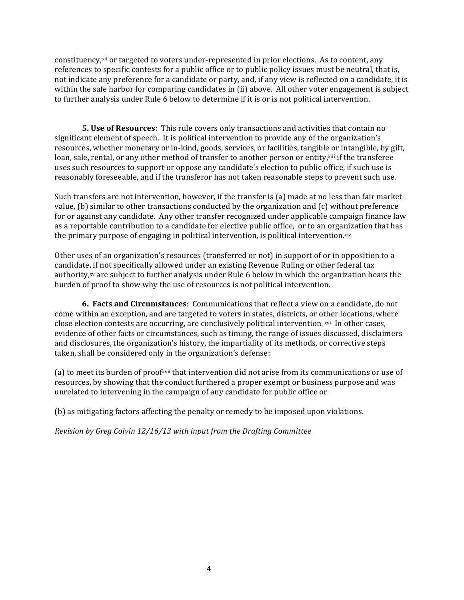constituency,<sup>xii</sup> or targeted to voters under-represented in prior elections. As to content, any references to specific contests for a public office or to public policy issues must be neutral, that is, not indicate any preference for a candidate or party, and, if any view is reflected on a candidate, it is within the safe harbor for comparing candidates in (ii) above. All other voter engagement is subject to further analysis under Rule 6 below to determine if it is or is not political intervention.

**5. Use of Resources**: This rule covers only transactions and activities that contain no significant element of speech. It is political intervention to provide any of the organization's resources, whether monetary or in-kind, goods, services, or facilities, tangible or intangible, by gift, loan, sale, rental, or any other method of transfer to another person or entity,<sup>xiii</sup> if the transferee uses such resources to support or oppose any candidate's election to public office, if such use is reasonably foreseeable, and if the transferor has not taken reasonable steps to prevent such use.

Such transfers are not intervention, however, if the transfer is (a) made at no less than fair market value, (b) similar to other transactions conducted by the organization and  $(c)$  without preference for or against any candidate. Any other transfer recognized under applicable campaign finance law as a reportable contribution to a candidate for elective public office, or to an organization that has the primary purpose of engaging in political intervention, is political intervention.xiv

Other uses of an organization's resources (transferred or not) in support of or in opposition to a candidate, if not specifically allowed under an existing Revenue Ruling or other federal tax authority,xv are subject to further analysis under Rule 6 below in which the organization bears the burden of proof to show why the use of resources is not political intervention.

**6. Facts and Circumstances**: Communications that reflect a view on a candidate, do not come within an exception, and are targeted to voters in states, districts, or other locations, where close election contests are occurring, are conclusively political intervention. xvi In other cases, evidence of other facts or circumstances, such as timing, the range of issues discussed, disclaimers and disclosures, the organization's history, the impartiality of its methods, or corrective steps taken, shall be considered only in the organization's defense:

(a) to meet its burden of proofxvii that intervention did not arise from its communications or use of resources, by showing that the conduct furthered a proper exempt or business purpose and was unrelated to intervening in the campaign of any candidate for public office or

(b) as mitigating factors affecting the penalty or remedy to be imposed upon violations.

*Revision by Greg Colvin 12/16/13 with input from the Drafting Committee*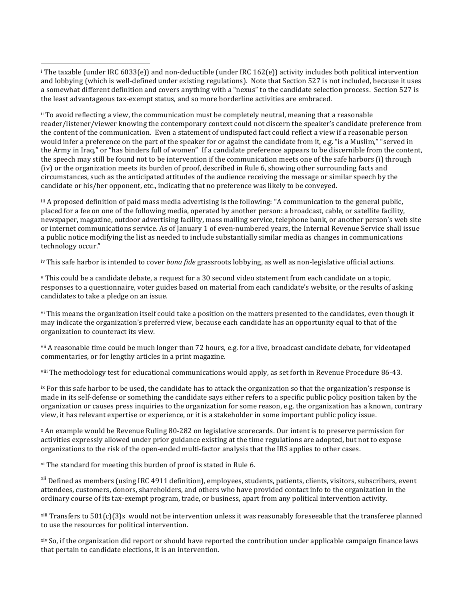<sup>ii</sup> To avoid reflecting a view, the communication must be completely neutral, meaning that a reasonable reader/listener/viewer knowing the contemporary context could not discern the speaker's candidate preference from the content of the communication. Even a statement of undisputed fact could reflect a view if a reasonable person would infer a preference on the part of the speaker for or against the candidate from it, e.g. "is a Muslim," "served in the Army in Iraq," or "has binders full of women" If a candidate preference appears to be discernible from the content, the speech may still be found not to be intervention if the communication meets one of the safe harbors (i) through (iv) or the organization meets its burden of proof, described in Rule 6, showing other surrounding facts and circumstances, such as the anticipated attitudes of the audience receiving the message or similar speech by the candidate or his/her opponent, etc., indicating that no preference was likely to be conveyed.

 $\ddot{a}$  iii A proposed definition of paid mass media advertising is the following: "A communication to the general public, placed for a fee on one of the following media, operated by another person: a broadcast, cable, or satellite facility, newspaper, magazine, outdoor advertising facility, mass mailing service, telephone bank, or another person's web site or internet communications service. As of January 1 of even-numbered years, the Internal Revenue Service shall issue a public notice modifying the list as needed to include substantially similar media as changes in communications technology occur."

iv This safe harbor is intended to cover *bona fide* grassroots lobbying, as well as non-legislative official actions.

<sup>v</sup> This could be a candidate debate, a request for a 30 second video statement from each candidate on a topic, responses to a questionnaire, voter guides based on material from each candidate's website, or the results of asking candidates to take a pledge on an issue.

vi This means the organization itself could take a position on the matters presented to the candidates, even though it may indicate the organization's preferred view, because each candidate has an opportunity equal to that of the organization to counteract its view.

vii A reasonable time could be much longer than 72 hours, e.g. for a live, broadcast candidate debate, for videotaped commentaries, or for lengthy articles in a print magazine.

viii The methodology test for educational communications would apply, as set forth in Revenue Procedure 86-43.

ix For this safe harbor to be used, the candidate has to attack the organization so that the organization's response is made in its self-defense or something the candidate says either refers to a specific public policy position taken by the organization or causes press inquiries to the organization for some reason, e.g. the organization has a known, contrary view, it has relevant expertise or experience, or it is a stakeholder in some important public policy issue.

<sup>x</sup> An example would be Revenue Ruling 80-282 on legislative scorecards. Our intent is to preserve permission for activities expressly allowed under prior guidance existing at the time regulations are adopted, but not to expose organizations to the risk of the open-ended multi-factor analysis that the IRS applies to other cases.

 $x$ <sup>i</sup> The standard for meeting this burden of proof is stated in Rule 6.

1

<sup>xii</sup> Defined as members (using IRC 4911 definition), employees, students, patients, clients, visitors, subscribers, event attendees, customers, donors, shareholders, and others who have provided contact info to the organization in the ordinary course of its tax-exempt program, trade, or business, apart from any political intervention activity.

 $x$ iii Transfers to 501(c)(3)s would not be intervention unless it was reasonably foreseeable that the transferee planned to use the resources for political intervention.

xiv So, if the organization did report or should have reported the contribution under applicable campaign finance laws that pertain to candidate elections, it is an intervention.

 $^{\rm i}$ The taxable (under IRC 6033(e)) and non-deductible (under IRC 162(e)) activity includes both political intervention and lobbying (which is well-defined under existing regulations). Note that Section 527 is not included, because it uses a somewhat different definition and covers anything with a "nexus" to the candidate selection process. Section 527 is the least advantageous tax-exempt status, and so more borderline activities are embraced.